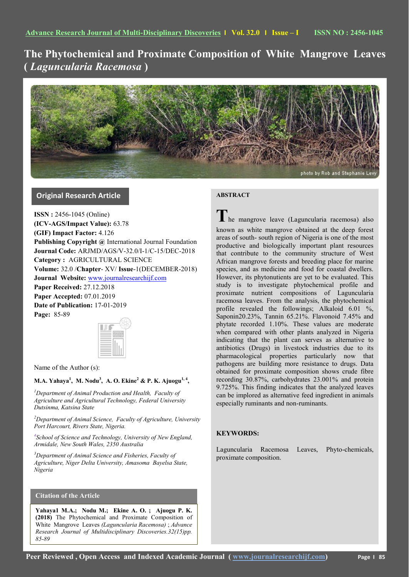# **The Phytochemical and Proximate Composition of White Mangrove Leaves (** *Laguncularia Racemosa* **)**



# **Original Research Article**

**ISSN :** 2456-1045 (Online) **(ICV-AGS/Impact Value):** 63.78 **(GIF) Impact Factor:** 4.126 **Publishing Copyright @** International Journal Foundation **Journal Code:** ARJMD/AGS/V-32.0/I-1/C-15/DEC-2018 **Category :** AGRICULTURAL SCIENCE **Volume:** 32.0 /**Chapter**- XV/ **Issue**-1(DECEMBER-2018) **Journal Website:** [www.journalresearchijf.com](http://www.journalresearchijf.com/) **Paper Received:** 27.12.2018 **Paper Accepted:** 07.01.2019 **Date of Publication:** 17-01-2019 **Page:** 85-89

| ntinutonal<br>Fournal<br>Foundation |
|-------------------------------------|
|                                     |
|                                     |
|                                     |
|                                     |

Name of the Author (s):

# **M.A. Yahaya<sup>1</sup> , M. Nodu<sup>3</sup> , A. O. Ekine<sup>2</sup> & P. K. Ajuogu1, 4 ,**

*<sup>1</sup>Department of Animal Production and Health, Faculty of Agriculture and Agricultural Technology, Federal University Dutsinma, Katsina State*

*<sup>2</sup>Department of Animal Science, Faculty of Agriculture, University Port Harcourt, Rivers State, Nigeria.*

*4 School of Science and Technology, University of New England, Armidale, New South Wales, 2350 Australia*

*<sup>3</sup>Department of Animal Science and Fisheries, Faculty of Agriculture, Niger Delta University, Amasoma Bayelsa State, Nigeria*

# **Citation of the Article**

**Yahaya1 M.A.; Nodu M.; Ekine A. O. ; Ajuogu P. K. (2018)** The Phytochemical and Proximate Composition of White Mangrove Leaves *(Laguncularia Racemosa)* ; *Advance Research Journal of Multidisciplinary Discoveries.32(15)pp. 85-89* 

# **ABSTRACT**

**T**he mangrove leave (Laguncularia racemosa) also known as white mangrove obtained at the deep forest areas of south- south region of Nigeria is one of the most productive and biologically important plant resources that contribute to the community structure of West African mangrove forests and breeding place for marine species, and as medicine and food for coastal dwellers. However, its phytonutients are yet to be evaluated. This study is to investigate phytochemical profile and proximate nutrient compositions of Laguncularia racemosa leaves. From the analysis, the phytochemical profile revealed the followings; Alkaloid 6.01 %, Saponin20.23%, Tannin 65.21%. Flavonoid 7.45% and phytate recorded 1.10%. These values are moderate when compared with other plants analyzed in Nigeria indicating that the plant can serves as alternative to antibiotics (Drugs) in livestock industries due to its pharmacological properties particularly now that pathogens are building more resistance to drugs. Data obtained for proximate composition shows crude fibre recording 30.87%, carbohydrates 23.001% and protein 9.725%. This finding indicates that the analyzed leaves can be implored as alternative feed ingredient in animals especially ruminants and non-ruminants.

# **KEYWORDS:**

Laguncularia Racemosa Leaves, Phyto-chemicals, proximate composition.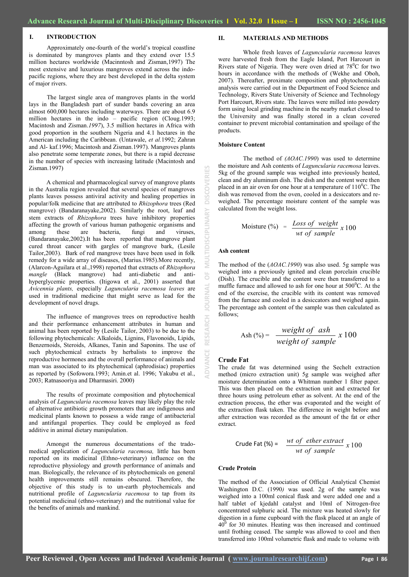# **I. INTRODUCTION**

Approximately one-fourth of the world's tropical coastline is dominated by mangroves plants and they extend over 15.5 million hectares worldwide (Macinntosh and Zisman,1997) The most extensive and luxurious mangroves extend across the indopacific regions, where they are best developed in the delta system of major rivers.

The largest single area of mangroves plants in the world lays in the Bangladesh part of sunder bands covering an area almost 600,000 hectares including waterways. There are about 6.9 million hectares in the indo – pacific region (Cloug.1993; Macintosh and Zisman.*1997*), 3.5 million hectares in Africa with good proportion in the southern Nigeria and 4.1 hectares in the American including the Caribbean. (Untawale, *et al.*1992; Zahran and Al- kaf.1996; Macintosh and Zisman.1997). Mangroves plants also penetrate some temperate zones, but there is a rapid decrease in the number of species with increasing latitude (Macintosh and Zisman.1997)

A chemical and pharmacological survey of mangrove plants in the Australia region revealed that several species of mangroves plants leaves possess antiviral activity and healing properties in popular/folk medicine that are attributed to *Rhizophora* trees (Red mangrove) (Bandaranayake,2002). Similarly the root, leaf and stem extracts of *Rhizophora* trees have inhibitory properties affecting the growth of various human pathogenic organisms and among these are bacteria, fungi and viruses, among these are bacteria, fungi and viruses, (Bandaranayake,2002).It has been reported that mangrove plant cured throat cancer with gargles of mangrove bark, (Lesile Tailor,2003). Bark of red mangrove trees have been used in folk remedy for a wide array of diseases, (Marius.1985).More recently, (Alarcon-Aguilara et al.,1998) reported that extracts of *Rhizophora mangle* (Black mangrove) had anti-diabetic and antihyperglycemic properties. (Itigowa et al., 2001) asserted that *Avicennia plants,* especially *Laguncularia racemosa leaves* are used in traditional medicine that might serve as lead for the development of novel drugs.

The influence of mangroves trees on reproductive health and their performance enhancement attributes in human and animal has been reported by (Lesile Tailor, 2003) to be due to the following phytochemicals: Alkaloids, Lignins, Flavonoids, Lipids, Benzernoids, Steroids, Alkanes, Tanin and Saponins. The use of such phytochemical extracts by herbalists to improve the reproductive hormones and the overall performance of animals and man was associated to its phytochemical (aphrodisiac) properties as reported by (Sofowora.1993; Amin.et al. 1996; Yakubu et al., 2003; Ratnasooriya and Dharmasiri. 2000)

The results of proximate composition and phytochemical analysis of *Laguncularia racemosa* leaves may likely play the role of alternative antibiotic growth promoters that are indigenous and medicinal plants known to possess a wide range of antibacterial and antifungal properties. They could be employed as feed additive in animal dietary manipulation.

Amongst the numerous documentations of the tradomedical application of *Laguncularia racemosa,* little has been reported on its medicinal (Ethno-veterinary) influence on the reproductive physiology and growth performance of animals and man. Biologically, the relevance of its phytochemicals on general health improvements still remains obscured. Therefore, the objective of this study is to un-earth phytochemicals and nutritional profile of *Laguncularia racemosa* to tap from its potential medicinal (ethno-veterinary) and the nutritional value for the benefits of animals and mankind.

#### **II. MATERIALS AND METHODS**

Whole fresh leaves of *Laguncularia racemosa* leaves were harvested fresh from the Eagle Island, Port Harcourt in Rivers state of Nigeria. They were oven dried at  $78^{\circ}$ C for two hours in accordance with the methods of (Wekhe and Oboh, 2007). Thereafter, proximate composition and phytochemicals analysis were carried out in the Department of Food Science and Technology, Rivers State University of Science and Technology Port Harcourt, Rivers state. The leaves were milled into powdery form using local grinding machine in the nearby market closed to the University and was finally stored in a clean covered container to prevent microbial contamination and spoilage of the products.

#### **Moisture Content**

The method of *(AOAC.1990*) was used to determine the moisture and Ash contents of *Laguncularia racemosa* leaves. 5kg of the ground sample was weighed into previously heated, clean and dry aluminum dish. The dish and the content were then placed in an air oven for one hour at a temperature of  $110^0$ C. The dish was removed from the oven, cooled in a desiccators and reweighed. The percentage moisture content of the sample was calculated from the weight loss.

$$
Moisture (\%) = \frac{Loss \ of \ weight}{wt \ of \ sample} x 100
$$

#### **Ash content**

**ADVANCE RESEARCH JOURNAL OF MULTIDISCIPLINARY DISCOVERIES**

Ō

RESEARCH

ā

 $\mathop{=}^{\mathop{\mathsf{D}}\nolimits}$ 

**DISCOV** 

PLINA

The method of the (*AOAC.1990*) was also used. 5g sample was weighed into a previously ignited and clean porcelain crucible (Dish). The crucible and the content were then transferred to a muffle furnace and allowed to ash for one hour at  $500^{\circ}$ C. At the end of the exercise, the crucible with its content was removed from the furnace and cooled in a desiccators and weighed again. The percentage ash content of the sample was then calculated as follows;

$$
Ash \, (%) = \frac{weight \, of \, ash}{weight \, of \, sample} \, x \, 100
$$

#### **Crude Fat**

The crude fat was determined using the Sechelt extraction method (micro extraction unit) 5g sample was weighed after moisture determination onto a Whitman number 1 filter paper. This was then placed on the extraction unit and extracted for three hours using petroleum ether as solvent. At the end of the extraction process, the ether was evaporated and the weight of the extraction flask taken. The difference in weight before and after extraction was recorded as the amount of the fat or ether extract.

Crude Fat (%) = 
$$
\frac{wt \ of \ ether \ extract}{wt \ of \ sample} \ x \ 100
$$

#### **Crude Protein**

The method of the Association of Official Analytical Chemist Washington D.C. (1990*)* was used. 2g of the sample was weighed into a 100ml conical flask and were added one and a half tablet of kjedahl catalyst and 10ml of Nitrogen-free concentrated sulphuric acid. The mixture was heated slowly for digestion in a fume cupboard with the flask placed at an angle of  $40<sup>0</sup>$  for 30 minutes. Heating was then increased and continued until frothing ceased. The sample was allowed to cool and then transferred into 100ml volumetric flask and made to volume with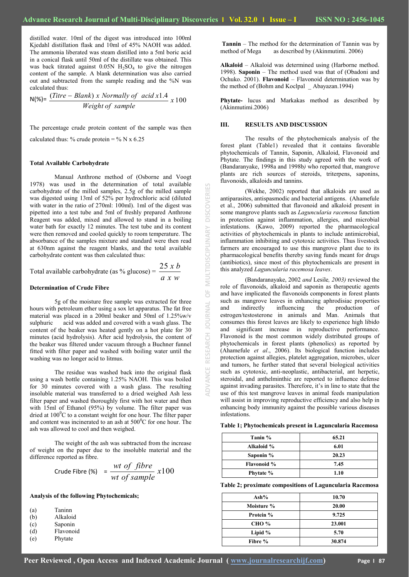**ADVANCE RESEARCH JOURNAL OF MULTIDISCIPLINARY DISCOVERIES**

 $\frac{1}{\sqrt{2}}$ 

**JOURNAL** 

RESEARCH

MULTIDISCIPLINARY

K

**DISCOVERI** 

distilled water. 10ml of the digest was introduced into 100ml Kjedahl distillation flask and 10ml of 45% NAOH was added. The ammonia liberated was steam distilled into a 5ml boric acid in a conical flask until 50ml of the distillate was obtained. This was back titrated against  $0.05N$  H<sub>2</sub>SO<sub>4</sub> to give the nitrogen content of the sample. A blank determination was also carried out and subtracted from the sample reading and the %N was calculated thus:

$$
N(\%) = \frac{(Titre - Blank) \times Normally \ of \ acid \ x1.4}{Weight \ of \ sample} \ x \ 100
$$

The percentage crude protein content of the sample was then

calculated thus: % crude protein = % N x 6.25

#### **Total Available Carbohydrate**

Manual Anthrone method of (Osborne and Voogt 1978) was used in the determination of total available carbohydrate of the milled samples, 2.5g of the milled sample was digested using 13ml of 52% per hydrochloric acid (diluted with water in the ratio of 270ml: 100ml). 1ml of the digest was pipetted into a test tube and 5ml of freshly prepared Anthrone Reagent was added, mixed and allowed to stand in a boiling water bath for exactly 12 minutes. The test tube and its content were then removed and cooled quickly to room temperature. The absorbance of the samples mixture and standard were then read at 630nm against the reagent blanks, and the total available carbohydrate content was then calculated thus:

Total available carbohydrate (as % glucose) =  $\frac{240 \text{ m/s}}{a \text{ x } w}$ 25 *x b*

#### **Determination of Crude Fibre**

5g of the moisture free sample was extracted for three hours with petroleum ether using a sox let apparatus. The fat free material was placed in a 200ml beaker and 50ml of 1.25%w/v sulphuric acid was added and covered with a wash glass. The content of the beaker was heated gently on a hot plate for 30 minutes (acid hydrolysis). After acid hydrolysis, the content of the beaker was filtered under vacuum through a Buchner funnel fitted with filter paper and washed with boiling water until the washing was no longer acid to litmus.

The residue was washed back into the original flask using a wash bottle containing 1.25% NAOH. This was boiled for 30 minutes covered with a wash glass. The resulting insoluble material was transferred to a dried weighed Ash less filter paper and washed thoroughly first with hot water and then with 15ml of Ethanol (95%) by volume. The filter paper was dried at  $100^{\circ}$ C to a constant weight for one hour. The filter paper and content was incinerated to an ash at  $500^{\circ}$ C for one hour. The ash was allowed to cool and then weighed.

The weight of the ash was subtracted from the increase of weight on the paper due to the insoluble material and the difference reported as fibre.

Crude Fibre (\*) = 
$$
\frac{wt \ of \ fibre}{wt \ of \ sample} \ x100
$$

### **Analysis of the following Phytochemicals;**

| (a) | Taninn |
|-----|--------|
|     |        |
|     |        |

- (b) Alkaloid
- (c) Saponin
- Flavonoid
- (e) Phytate

**Tannin** – The method for the determination of Tannin was by method of Mega as described by (Akinmutimi. 2006)

**Alkaloid** – Alkaloid was determined using (Harborne method. 1998). **Saponin** – The method used was that of (Obadoni and Ochuko. 2001). **Flavonoid** – Flavonoid determination was by the method of (Bohm and Koclpal \_ Abayazan.1994)

**Phytate-** lucus and Markakas method as described by (Akinmutimi.2006)

#### **III. RESULTS AND DISCUSSION**

The results of the phytochemicals analysis of the forest plant (Table1) revealed that it contains favorable phytochemicals of Tannin, Saponin, Alkaloid, Flavonoid and Phytate. The findings in this study agreed with the work of (Bandaranyake, 1998a and 1998b*)* who reported that, mangrove plants are rich sources of steroids, triterpens, saponins, flavonoids, alkaloids and tannins.

(Wekhe, 2002) reported that alkaloids are used as antiparasites, antispasmodic and bacterial antigens. (Ahamefule et al., 2006) submitted that flavonoid and alkaloid present in some mangrove plants such as *Laguncularia racemosa* function in protection against inflammation, allergies, and microbial infestations. (Kawo, 2009) reported the pharmacological activities of phytochemicals in plants to include antimicrobial, inflammation inhibiting and cytotoxic activities. Thus livestock farmers are encouraged to use this mangrove plant due to its pharmacological benefits thereby saving funds meant for drugs (antibiotics), since most of this phytochemicals are present in this analyzed *Laguncularia racemosa leaves*.

(Bandaranayake, 2002 *and* Lesile*, 2003)* reviewed the role of flavonoids, alkaloid and saponin as therapeutic agents and have implicated the flavonoids components in forest plants such as mangrove leaves in enhancing aphrodisiac properties<br>and indirectly influencing the production of and indirectly influencing the production estrogen/testosterone in animals and Man. Animals that consumes this forest leaves are likely to experience high libido and significant increase in reproductive performance. Flavonoid is the most common widely distributed groups of phytochemicals in forest plants (phenolics) as reported by (Ahamefule *et al*., 2006). Its biological function includes protection against allegies, platelet aggregation, microbes, ulcer and tumors, he further stated that several biological activities such as cytotoxic, anti-neoplastic, antibacterial, ant herpetic, steroidal, and anthelminthic are reported to influence defense against invading parasites. Therefore, it's in line to state that the use of this test mangrove leaves in animal feeds manipulation will assist in improving reproductive efficiency and also help in enhancing body immunity against the possible various diseases infestations.

|  |  | Table 1; Phytochemicals present in Laguncularia Racemosa |  |  |  |
|--|--|----------------------------------------------------------|--|--|--|
|--|--|----------------------------------------------------------|--|--|--|

| Tanin %            | 65.21 |
|--------------------|-------|
| Alkaloid %         | 6.01  |
| Saponin %          | 20.23 |
| <b>Flavonoid</b> % | 7.45  |
| Phytate %          | 1.10  |

**Table 2; proximate compositions of Laguncularia Racemosa**

| Ash $%$      | 10.70  |
|--------------|--------|
| Moisture %   | 20.00  |
| Protein %    | 9.725  |
| <b>CHO</b> % | 23.001 |
| Lipid $%$    | 5.70   |
| Fibre %      | 30.874 |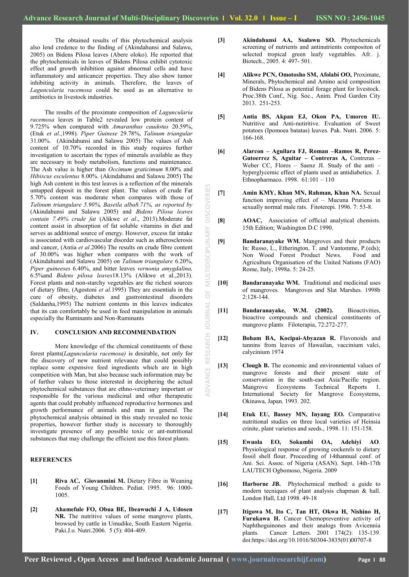The obtained results of this phytochemical analysis also lend credence to the finding of (Akindahunsi and Salawu, 2005) on Bidens Pilosa leaves (Abere oloko). He reported that the phytochemicals in leaves of Bidens Pilosa exhibit cytotoxic effect and growth inhibition against abnormal cells and have inflammatory and anticancer properties. They also show tumor inhibiting activity in animals. Therefore, the leaves of *Laguncularia racemosa* could be used as an alternative to antibiotics in livestock industries.

The results of the proximate composition of *Laguncularia racemosa* leaves in Table2 revealed low protein content of 9.725% when compared with *Amaranthus caudotus* 20.59%, (Etuk *et al*.,1998). *Piper Guinese* 29.78%, *Talinum triangular* 31.00%. (Akindahunsi and Salawu 2005) The values of Ash content of 10.70% recorded in this study requires further investigation to ascertain the types of minerals available as they are necessary in body metabolism, functions and maintenance. The Ash value is higher than *Occimum graticimum* 8.00% and *Hibiscus esculentus* 8.00%. (Akindahunsi and Salawu 2005) The high Ash content in this test leaves is a reflection of the minerals untapped deposit in the forest plant. The values of crude Fat 5.70% content was moderate when compares with those of *Talinum triangulare 5.90%, Baseila alba8.71%, as reported by* (Akindahunsi and Salawu 2005) and *Bidens Pilosa leaves contain 7.49% crude fat* (Alikwe *et al*., 2013).Moderate fat content assist in absorption of fat soluble vitamins in diet and serves as additional source of energy. However, excess fat intake is associated with cardiovascular disorder such as atherosclerosis and cancer, (Antia *et al*.2006) The results on crude fibre content of 30.00% was higher when compares with the work of (Akindahunsi and Salawu 2005) on *Talinum triangulare* 6.20%, *Piper guineeses* 6.40%, and bitter leaves *vernonia amygdalina,*  6.5%and *Bidens pilosa leaves*18.13% (Alikwe et al.,2013). Forest plants and non-starchy vegetables are the richest sources of dietary fibre, (Agostoni *et al.*1995) They are essentials in the cure of obesity, diabetes and gastrointestinal disorders (Saldanha,1995) The nutrient contents in this leaves indicates that its can comfortably be used in feed manipulation in animals especially the Ruminants and Non-Ruminants

#### **IV. CONCLUSION AND RECOMMENDATION**

More knowledge of the chemical constituents of these forest plants(*Laguncularia racemosa)* is desirable, not only for the discovery of new nutrient relevance that could possibly replace some expensive feed ingredients which are in high competition with Man, but also because such information may be of further values to those interested in deciphering the actual phytochemical substances that are ethno-veterinary important or responsible for the various medicinal and other therapeutic agents that could probably influenced reproductive hormones and growth performance of animals and man in general. The phytochemical analysis obtained in this study revealed no toxic properties, however further study is necessary to thoroughly investigate presence of any possible toxic or ant-nutritional substances that may challenge the efficient use this forest plants.

# **REFERENCES**

- **[1] Riva AC, Giovanmini M.** Dietary Fibre in Weaning Foods of Young Children. Pediat. 1995. 96: 1000- 1005.
- **[2] Ahamefule FO, Obua BE, Ibeawuchi J A, Udosen NR.** The nutritive values of some mangrove plants, browsed by cattle in Umudike, South Eastern Nigeria. Paki.J.o. Nutri.2006. 5 (5): 404-409.
- **[3] Akindahunsi AA, Ssalawu SO.** Phytochemicals screening of nutrients and antinutrients compositon of selected tropical green leafy vegetables. Afr. j. Biotech., 2005. 4: 497- 501.
- **[4] Alikwe PCN, Omotosho SM, Afolabi OO,** Proximate, Minerals, Phytochemical and Amino acid composition of Bidens Pilosa as potential forage plant for livestock. Proc.38th Conf., Nig. Soc., Anim. Prod Garden City 2013. 251-253.
- **[5] Antia BS, Akpan EJ, Okon PA, Umoren IU.** Nutritive and Anti-nutiritive. Evaluation of Sweet potatoes (Ipomoea batatas) leaves. Pak. Nutri. 2006. 5: 166-168.
- **[6] Alarcon – Aguilara FJ, Roman –Ramos R, Perez-Gutoerrez S, Aguitar – Contreras A,** Contreras – Weber CC, Flores – Saenz JI. Study of the anti – hyperglycemic effect of plants used as antidiabetics. J. Ethnopharmaco. 1998. 61:101 – 110
- **[7] Amin KMY, Khan MN, Rahman, Khan NA.** Sexual function improving effect of – Mucuna Pruriens in sexually normal male rats. Fitoterepi. 1996. 7: 53-8.
- **[8] AOAC,** Association of official analytical chemists. 15th Edition; Washington D.C 1990.
- **[9] Bandaranayake WM.** Mangroves and their products In: Russo, L., Etherington, T. and Vantomme, P.(eds); Non Wood Forest Product News. Food and Agricultura Organisation of the United Nations (FAO) Rome, Italy, 1998a. 5: 24-25.
- **[10] Bandaranayake WM.** Traditional and medicinal uses of mangroves. Mangroves and Slat Marshes. 1998b 2:128-144.
- **[11] Bandaranayake, W.M. (2002).** Bioactivities, bioactive compounds and chemical constituents of mangrove plants Filoterapia, 72:272-277.
- **[12] Boham BA, Kocipai-Abyazan R.** Flavonoids and tannins from leaves of Hawailan, vaccinium valci, calycinium 1974
- **[13] Clough B.** The economic and environmental values of mangrove forests and their present state of conservation in the south-east Asia/Pacific region. Mangrove Ecosystems Technical Reports 1. International Society for Mangrove Ecosystems, Okinawa, Japan. 1993. 202.
- **[14] Etuk EU, Bassey MN, Inyang EO.** Comparative nutritional studies on three local varieties of Heinsia crinite, plant varieties and seeds., 1998. 11: 151-158.
- **[15] Ewuola EO, Sokumbi OA, Adebiyi AO**. Physiological response of growing cockerels to dietary fossil shell flour. Proceeding of 14thannual conf. of Ani. Sci. Assoc. of Nigeria (ASAN). Sept. 14th-17th LAUTECH Ogbomoso, Nigeria. 2009
- **[16] Harborne JB.** Phytochemical method: a guide to modern tecniques of plant analysis chapman & hall. London Hall, Ltd 1998. 49-18
- **[17] Itigowa M, Ito C, Tan HT, Okwa H, Nishino H, Furukawa H.** Cancer Chemopreventive activity of Naphthoguinones and their analogs from Avicennia plants. Cancer Letters. 2001 174(2): 135-139. doi:https://doi.org/10.1016/S0304-3835(01)00707-8

**ADVANCE RESEARCH JOURNAL OF MULTIDISCIPLINARY DISCOVERIES**

 $\overline{0}$ 

JOURNAL

RESEARCH

**ADVANCE** 

MULTIDISCIPLINARY

**DISCOVERIES**